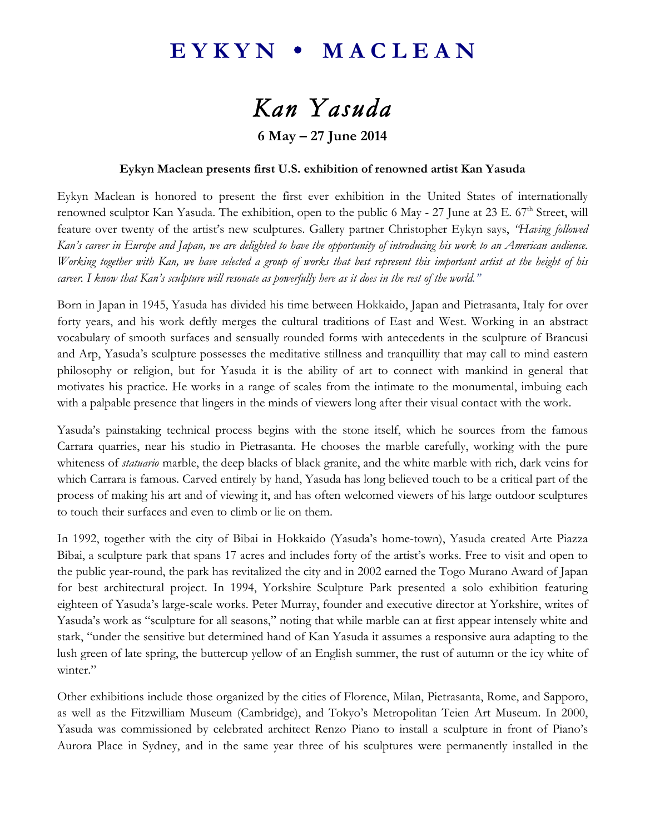### EYKYN • MACLEAN

# *Kan Yasuda*

### **6 May – 27 June 2014**

#### **Eykyn Maclean presents first U.S. exhibition of renowned artist Kan Yasuda**

Eykyn Maclean is honored to present the first ever exhibition in the United States of internationally renowned sculptor Kan Yasuda. The exhibition, open to the public 6 May - 27 June at 23 E. 67<sup>th</sup> Street, will feature over twenty of the artist's new sculptures. Gallery partner Christopher Eykyn says, *"Having followed Kan's career in Europe and Japan, we are delighted to have the opportunity of introducing his work to an American audience. Working together with Kan, we have selected a group of works that best represent this important artist at the height of his career. I know that Kan's sculpture will resonate as powerfully here as it does in the rest of the world."*

Born in Japan in 1945, Yasuda has divided his time between Hokkaido, Japan and Pietrasanta, Italy for over forty years, and his work deftly merges the cultural traditions of East and West. Working in an abstract vocabulary of smooth surfaces and sensually rounded forms with antecedents in the sculpture of Brancusi and Arp, Yasuda's sculpture possesses the meditative stillness and tranquillity that may call to mind eastern philosophy or religion, but for Yasuda it is the ability of art to connect with mankind in general that motivates his practice. He works in a range of scales from the intimate to the monumental, imbuing each with a palpable presence that lingers in the minds of viewers long after their visual contact with the work.

Yasuda's painstaking technical process begins with the stone itself, which he sources from the famous Carrara quarries, near his studio in Pietrasanta. He chooses the marble carefully, working with the pure whiteness of *statuario* marble, the deep blacks of black granite, and the white marble with rich, dark veins for which Carrara is famous. Carved entirely by hand, Yasuda has long believed touch to be a critical part of the process of making his art and of viewing it, and has often welcomed viewers of his large outdoor sculptures to touch their surfaces and even to climb or lie on them.

In 1992, together with the city of Bibai in Hokkaido (Yasuda's home-town), Yasuda created Arte Piazza Bibai, a sculpture park that spans 17 acres and includes forty of the artist's works. Free to visit and open to the public year-round, the park has revitalized the city and in 2002 earned the Togo Murano Award of Japan for best architectural project. In 1994, Yorkshire Sculpture Park presented a solo exhibition featuring eighteen of Yasuda's large-scale works. Peter Murray, founder and executive director at Yorkshire, writes of Yasuda's work as "sculpture for all seasons," noting that while marble can at first appear intensely white and stark, "under the sensitive but determined hand of Kan Yasuda it assumes a responsive aura adapting to the lush green of late spring, the buttercup yellow of an English summer, the rust of autumn or the icy white of winter."

Other exhibitions include those organized by the cities of Florence, Milan, Pietrasanta, Rome, and Sapporo, as well as the Fitzwilliam Museum (Cambridge), and Tokyo's Metropolitan Teien Art Museum. In 2000, Yasuda was commissioned by celebrated architect Renzo Piano to install a sculpture in front of Piano's Aurora Place in Sydney, and in the same year three of his sculptures were permanently installed in the